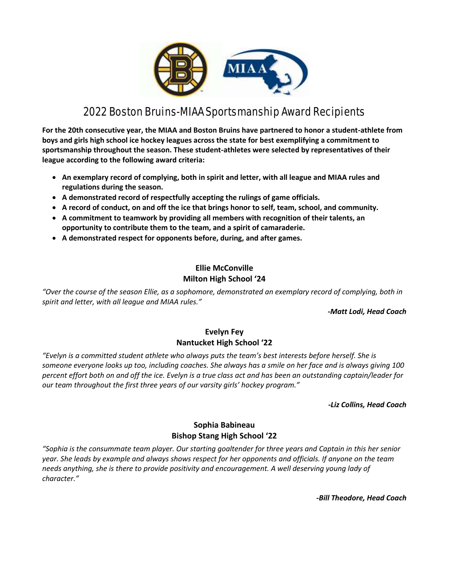

# 2022 Boston Bruins-MIAA Sportsmanship Award Recipients

**For the 20th consecutive year, the MIAA and Boston Bruins have partnered to honor a student-athlete from boys and girls high school ice hockey leagues across the state for best exemplifying a commitment to sportsmanship throughout the season. These student-athletes were selected by representatives of their league according to the following award criteria:** 

- **An exemplary record of complying, both in spirit and letter, with all league and MIAA rules and regulations during the season.**
- **A demonstrated record of respectfully accepting the rulings of game officials.**
- **A record of conduct, on and off the ice that brings honor to self, team, school, and community.**
- **A commitment to teamwork by providing all members with recognition of their talents, an opportunity to contribute them to the team, and a spirit of camaraderie.**
- **A demonstrated respect for opponents before, during, and after games.**

# **Ellie McConville Milton High School '24**

*"Over the course of the season Ellie, as a sophomore, demonstrated an exemplary record of complying, both in spirit and letter, with all league and MIAA rules."*

#### *-Matt Lodi, Head Coach*

## **Evelyn Fey Nantucket High School '22**

*"Evelyn is a committed student athlete who always puts the team's best interests before herself. She is someone everyone looks up too, including coaches. She always has a smile on her face and is always giving 100 percent effort both on and off the ice. Evelyn is a true class act and has been an outstanding captain/leader for our team throughout the first three years of our varsity girls' hockey program."*

#### *-Liz Collins, Head Coach*

## **Sophia Babineau Bishop Stang High School '22**

*"Sophia is the consummate team player. Our starting goaltender for three years and Captain in this her senior year. She leads by example and always shows respect for her opponents and officials. If anyone on the team needs anything, she is there to provide positivity and encouragement. A well deserving young lady of character."*

*-Bill Theodore, Head Coach*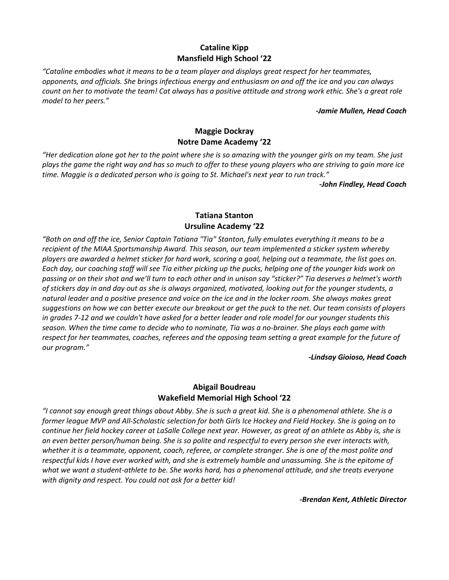# **Cataline Kipp Mansfield High School '22**

*"Cataline embodies what it means to be a team player and displays great respect for her teammates, opponents, and officials. She brings infectious energy and enthusiasm on and off the ice and you can always count on her to motivate the team! Cat always has a positive attitude and strong work ethic. She's a great role model to her peers."*

#### *-Jamie Mullen, Head Coach*

# **Maggie Dockray Notre Dame Academy '22**

*"Her dedication alone got her to the point where she is so amazing with the younger girls on my team. She just plays the game the right way and has so much to offer to these young players who are striving to gain more ice time. Maggie is a dedicated person who is going to St. Michael's next year to run track."*

*-John Findley, Head Coach* 

## **Tatiana Stanton Ursuline Academy '22**

*"Both on and off the ice, Senior Captain Tatiana "Tia" Stanton, fully emulates everything it means to be a recipient of the MIAA Sportsmanship Award. This season, our team implemented a sticker system whereby players are awarded a helmet sticker for hard work, scoring a goal, helping out a teammate, the list goes on. Each day, our coaching staff will see Tia either picking up the pucks, helping one of the younger kids work on passing or on their shot and we'll turn to each other and in unison say "sticker?" Tia deserves a helmet's worth of stickers day in and day out as she is always organized, motivated, looking out for the younger students, a natural leader and a positive presence and voice on the ice and in the locker room. She always makes great suggestions on how we can better execute our breakout or get the puck to the net. Our team consists of players in grades 7-12 and we couldn't have asked for a better leader and role model for our younger students this season. When the time came to decide who to nominate, Tia was a no-brainer. She plays each game with respect for her teammates, coaches, referees and the opposing team setting a great example for the future of our program."*

#### *-Lindsay Gioioso, Head Coach*

## **Abigail Boudreau Wakefield Memorial High School '22**

*"I cannot say enough great things about Abby. She is such a great kid. She is a phenomenal athlete. She is a former league MVP and All-Scholastic selection for both Girls Ice Hockey and Field Hockey. She is going on to*  continue her field hockey career at LaSalle College next year. However, as great of an athlete as Abby is, she is *an even better person/human being. She is so polite and respectful to every person she ever interacts with, whether it is a teammate, opponent, coach, referee, or complete stranger. She is one of the most polite and respectful kids I have ever worked with, and she is extremely humble and unassuming. She is the epitome of what we want a student-athlete to be. She works hard, has a phenomenal attitude, and she treats everyone with dignity and respect. You could not ask for a better kid!* 

*-Brendan Kent, Athletic Director*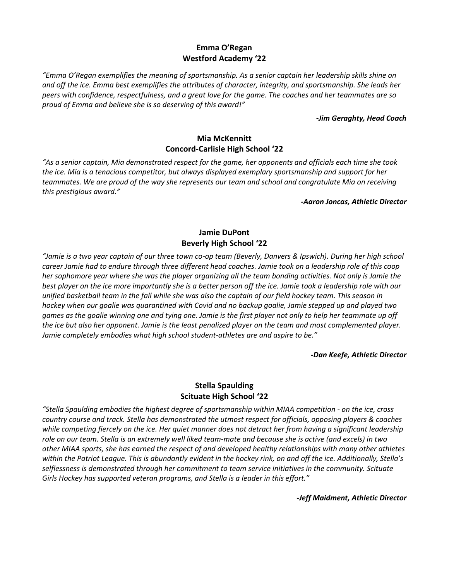## **Emma O'Regan Westford Academy '22**

*"Emma O'Regan exemplifies the meaning of sportsmanship. As a senior captain her leadership skills shine on and off the ice. Emma best exemplifies the attributes of character, integrity, and sportsmanship. She leads her peers with confidence, respectfulness, and a great love for the game. The coaches and her teammates are so proud of Emma and believe she is so deserving of this award!"*

#### *-Jim Geraghty, Head Coach*

#### **Mia McKennitt Concord-Carlisle High School '22**

*"As a senior captain, Mia demonstrated respect for the game, her opponents and officials each time she took the ice. Mia is a tenacious competitor, but always displayed exemplary sportsmanship and support for her teammates. We are proud of the way she represents our team and school and congratulate Mia on receiving this prestigious award."*

*-Aaron Joncas, Athletic Director*

# **Jamie DuPont Beverly High School '22**

*"Jamie is a two year captain of our three town co-op team (Beverly, Danvers & Ipswich). During her high school career Jamie had to endure through three different head coaches. Jamie took on a leadership role of this coop her sophomore year where she was the player organizing all the team bonding activities. Not only is Jamie the*  best player on the ice more importantly she is a better person off the ice. Jamie took a leadership role with our *unified basketball team in the fall while she was also the captain of our field hockey team. This season in hockey when our goalie was quarantined with Covid and no backup goalie, Jamie stepped up and played two games as the goalie winning one and tying one. Jamie is the first player not only to help her teammate up off the ice but also her opponent. Jamie is the least penalized player on the team and most complemented player. Jamie completely embodies what high school student-athletes are and aspire to be."*

*-Dan Keefe, Athletic Director* 

# **Stella Spaulding Scituate High School '22**

*"Stella Spaulding embodies the highest degree of sportsmanship within MIAA competition - on the ice, cross country course and track. Stella has demonstrated the utmost respect for officials, opposing players & coaches while competing fiercely on the ice. Her quiet manner does not detract her from having a significant leadership role on our team. Stella is an extremely well liked team-mate and because she is active (and excels) in two other MIAA sports, she has earned the respect of and developed healthy relationships with many other athletes within the Patriot League. This is abundantly evident in the hockey rink, on and off the ice. Additionally, Stella's selflessness is demonstrated through her commitment to team service initiatives in the community. Scituate Girls Hockey has supported veteran programs, and Stella is a leader in this effort."*

*-Jeff Maidment, Athletic Director*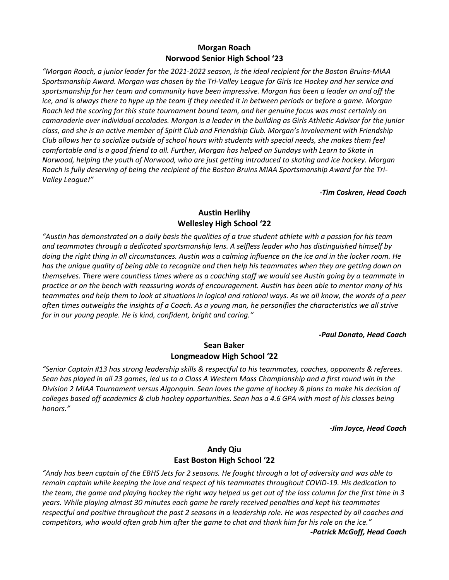## **Morgan Roach Norwood Senior High School '23**

*"Morgan Roach, a junior leader for the 2021-2022 season, is the ideal recipient for the Boston Bruins-MIAA Sportsmanship Award. Morgan was chosen by the Tri-Valley League for Girls Ice Hockey and her service and sportsmanship for her team and community have been impressive. Morgan has been a leader on and off the ice, and is always there to hype up the team if they needed it in between periods or before a game. Morgan Roach led the scoring for this state tournament bound team, and her genuine focus was most certainly on camaraderie over individual accolades. Morgan is a leader in the building as Girls Athletic Advisor for the junior class, and she is an active member of Spirit Club and Friendship Club. Morgan's involvement with Friendship Club allows her to socialize outside of school hours with students with special needs, she makes them feel comfortable and is a good friend to all. Further, Morgan has helped on Sundays with Learn to Skate in Norwood, helping the youth of Norwood, who are just getting introduced to skating and ice hockey. Morgan Roach is fully deserving of being the recipient of the Boston Bruins MIAA Sportsmanship Award for the Tri-Valley League!"*

#### *-Tim Coskren, Head Coach*

#### **Austin Herlihy Wellesley High School '22**

*"Austin has demonstrated on a daily basis the qualities of a true student athlete with a passion for his team and teammates through a dedicated sportsmanship lens. A selfless leader who has distinguished himself by doing the right thing in all circumstances. Austin was a calming influence on the ice and in the locker room. He has the unique quality of being able to recognize and then help his teammates when they are getting down on themselves. There were countless times where as a coaching staff we would see Austin going by a teammate in practice or on the bench with reassuring words of encouragement. Austin has been able to mentor many of his teammates and help them to look at situations in logical and rational ways. As we all know, the words of a peer often times outweighs the insights of a Coach. As a young man, he personifies the characteristics we all strive for in our young people. He is kind, confident, bright and caring."*

#### *-Paul Donato, Head Coach*

## **Sean Baker Longmeadow High School '22**

*"Senior Captain #13 has strong leadership skills & respectful to his teammates, coaches, opponents & referees. Sean has played in all 23 games, led us to a Class A Western Mass Championship and a first round win in the Division 2 MIAA Tournament versus Algonquin. Sean loves the game of hockey & plans to make his decision of colleges based off academics & club hockey opportunities. Sean has a 4.6 GPA with most of his classes being honors."*

*-Jim Joyce, Head Coach* 

## **Andy Qiu East Boston High School '22**

*"Andy has been captain of the EBHS Jets for 2 seasons. He fought through a lot of adversity and was able to remain captain while keeping the love and respect of his teammates throughout COVID-19. His dedication to the team, the game and playing hockey the right way helped us get out of the loss column for the first time in 3 years. While playing almost 30 minutes each game he rarely received penalties and kept his teammates respectful and positive throughout the past 2 seasons in a leadership role. He was respected by all coaches and competitors, who would often grab him after the game to chat and thank him for his role on the ice."*

*-Patrick McGoff, Head Coach*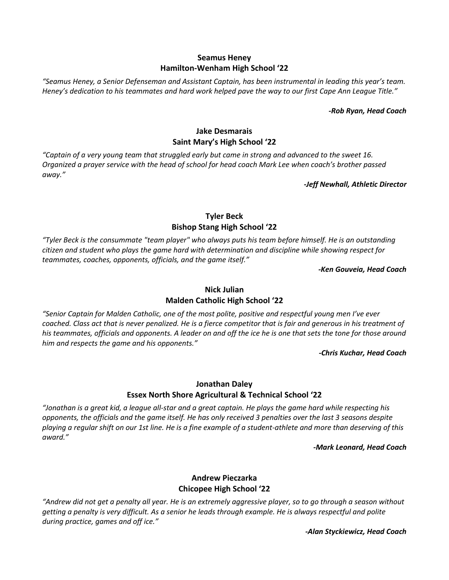## **Seamus Heney Hamilton-Wenham High School '22**

*"Seamus Heney, a Senior Defenseman and Assistant Captain, has been instrumental in leading this year's team. Heney's dedication to his teammates and hard work helped pave the way to our first Cape Ann League Title."* 

*-Rob Ryan, Head Coach* 

## **Jake Desmarais Saint Mary's High School '22**

*"Captain of a very young team that struggled early but came in strong and advanced to the sweet 16. Organized a prayer service with the head of school for head coach Mark Lee when coach's brother passed away."*

*-Jeff Newhall, Athletic Director* 

## **Tyler Beck Bishop Stang High School '22**

*"Tyler Beck is the consummate "team player" who always puts his team before himself. He is an outstanding citizen and student who plays the game hard with determination and discipline while showing respect for teammates, coaches, opponents, officials, and the game itself."*

*-Ken Gouveia, Head Coach* 

# **Nick Julian Malden Catholic High School '22**

*"Senior Captain for Malden Catholic, one of the most polite, positive and respectful young men I've ever coached. Class act that is never penalized. He is a fierce competitor that is fair and generous in his treatment of his teammates, officials and opponents. A leader on and off the ice he is one that sets the tone for those around him and respects the game and his opponents."*

*-Chris Kuchar, Head Coach* 

## **Jonathan Daley Essex North Shore Agricultural & Technical School '22**

*"Jonathan is a great kid, a league all-star and a great captain. He plays the game hard while respecting his opponents, the officials and the game itself. He has only received 3 penalties over the last 3 seasons despite playing a regular shift on our 1st line. He is a fine example of a student-athlete and more than deserving of this award."*

*-Mark Leonard, Head Coach* 

# **Andrew Pieczarka Chicopee High School '22**

*"Andrew did not get a penalty all year. He is an extremely aggressive player, so to go through a season without getting a penalty is very difficult. As a senior he leads through example. He is always respectful and polite during practice, games and off ice."*

*-Alan Styckiewicz, Head Coach*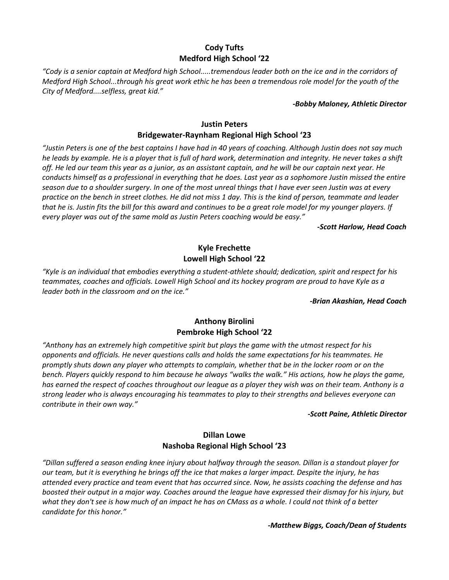# **Cody Tufts Medford High School '22**

*"Cody is a senior captain at Medford high School.....tremendous leader both on the ice and in the corridors of Medford High School...through his great work ethic he has been a tremendous role model for the youth of the City of Medford....selfless, great kid."*

#### *-Bobby Maloney, Athletic Director*

# **Justin Peters**

## **Bridgewater-Raynham Regional High School '23**

*"Justin Peters is one of the best captains I have had in 40 years of coaching. Although Justin does not say much he leads by example. He is a player that is full of hard work, determination and integrity. He never takes a shift off. He led our team this year as a junior, as an assistant captain, and he will be our captain next year. He conducts himself as a professional in everything that he does. Last year as a sophomore Justin missed the entire season due to a shoulder surgery. In one of the most unreal things that I have ever seen Justin was at every practice on the bench in street clothes. He did not miss 1 day. This is the kind of person, teammate and leader that he is. Justin fits the bill for this award and continues to be a great role model for my younger players. If every player was out of the same mold as Justin Peters coaching would be easy."*

#### *-Scott Harlow, Head Coach*

# **Kyle Frechette Lowell High School '22**

*"Kyle is an individual that embodies everything a student‐athlete should; dedication, spirit and respect for his teammates, coaches and officials. Lowell High School and its hockey program are proud to have Kyle as a leader both in the classroom and on the ice."* 

*-Brian Akashian, Head Coach* 

## **Anthony Birolini Pembroke High School '22**

*"Anthony has an extremely high competitive spirit but plays the game with the utmost respect for his opponents and officials. He never questions calls and holds the same expectations for his teammates. He promptly shuts down any player who attempts to complain, whether that be in the locker room or on the bench. Players quickly respond to him because he always "walks the walk." His actions, how he plays the game, has earned the respect of coaches throughout our league as a player they wish was on their team. Anthony is a strong leader who is always encouraging his teammates to play to their strengths and believes everyone can contribute in their own way."*

#### *-Scott Paine, Athletic Director*

## **Dillan Lowe Nashoba Regional High School '23**

*"Dillan suffered a season ending knee injury about halfway through the season. Dillan is a standout player for our team, but it is everything he brings off the ice that makes a larger impact. Despite the injury, he has attended every practice and team event that has occurred since. Now, he assists coaching the defense and has boosted their output in a major way. Coaches around the league have expressed their dismay for his injury, but what they don't see is how much of an impact he has on CMass as a whole. I could not think of a better candidate for this honor."*

*-Matthew Biggs, Coach/Dean of Students*